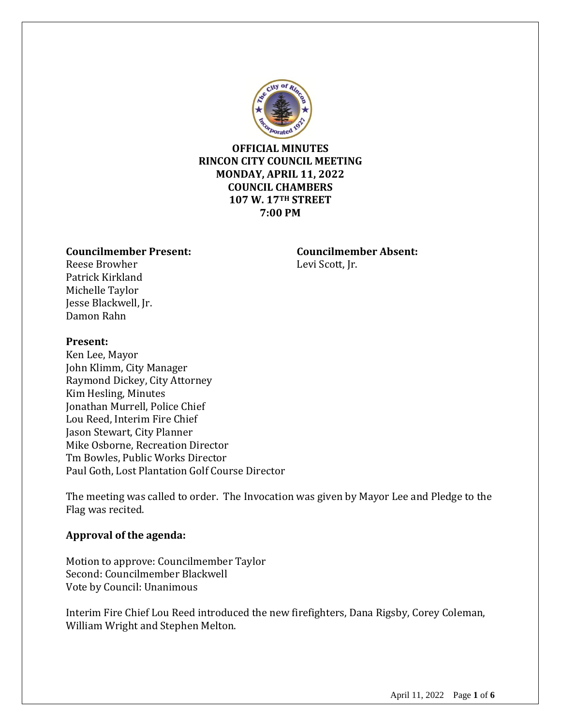

# **OFFICIAL MINUTES RINCON CITY COUNCIL MEETING MONDAY, APRIL 11, 2022 COUNCIL CHAMBERS 107 W. 17TH STREET 7:00 PM**

#### **Councilmember Present: Councilmember Absent:**

Reese Browher Levi Scott, Jr. Patrick Kirkland Michelle Taylor Jesse Blackwell, Jr. Damon Rahn

# **Present:**

Ken Lee, Mayor John Klimm, City Manager Raymond Dickey, City Attorney Kim Hesling, Minutes Jonathan Murrell, Police Chief Lou Reed, Interim Fire Chief Jason Stewart, City Planner Mike Osborne, Recreation Director Tm Bowles, Public Works Director Paul Goth, Lost Plantation Golf Course Director

The meeting was called to order. The Invocation was given by Mayor Lee and Pledge to the Flag was recited.

# **Approval of the agenda:**

Motion to approve: Councilmember Taylor Second: Councilmember Blackwell Vote by Council: Unanimous

Interim Fire Chief Lou Reed introduced the new firefighters, Dana Rigsby, Corey Coleman, William Wright and Stephen Melton.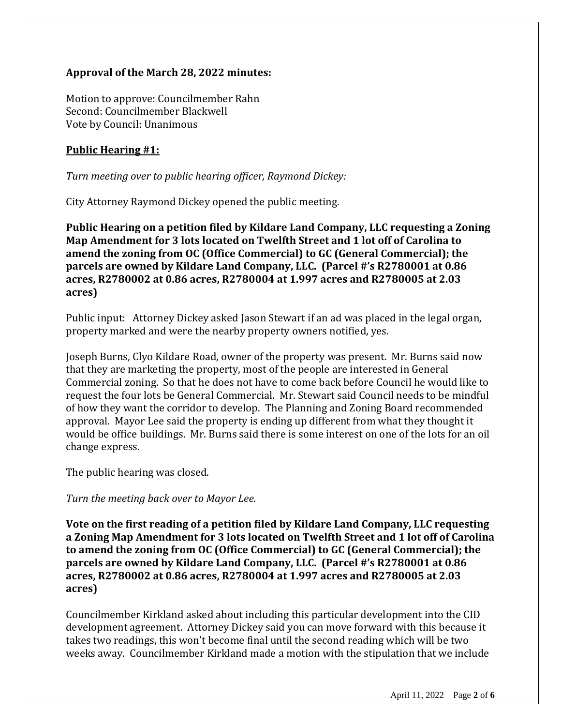# **Approval of the March 28, 2022 minutes:**

Motion to approve: Councilmember Rahn Second: Councilmember Blackwell Vote by Council: Unanimous

# **Public Hearing #1:**

*Turn meeting over to public hearing officer, Raymond Dickey:*

City Attorney Raymond Dickey opened the public meeting.

**Public Hearing on a petition filed by Kildare Land Company, LLC requesting a Zoning Map Amendment for 3 lots located on Twelfth Street and 1 lot off of Carolina to amend the zoning from OC (Office Commercial) to GC (General Commercial); the parcels are owned by Kildare Land Company, LLC. (Parcel #'s R2780001 at 0.86 acres, R2780002 at 0.86 acres, R2780004 at 1.997 acres and R2780005 at 2.03 acres)**

Public input: Attorney Dickey asked Jason Stewart if an ad was placed in the legal organ, property marked and were the nearby property owners notified, yes.

Joseph Burns, Clyo Kildare Road, owner of the property was present. Mr. Burns said now that they are marketing the property, most of the people are interested in General Commercial zoning. So that he does not have to come back before Council he would like to request the four lots be General Commercial. Mr. Stewart said Council needs to be mindful of how they want the corridor to develop. The Planning and Zoning Board recommended approval. Mayor Lee said the property is ending up different from what they thought it would be office buildings. Mr. Burns said there is some interest on one of the lots for an oil change express.

The public hearing was closed.

*Turn the meeting back over to Mayor Lee.*

**Vote on the first reading of a petition filed by Kildare Land Company, LLC requesting a Zoning Map Amendment for 3 lots located on Twelfth Street and 1 lot off of Carolina to amend the zoning from OC (Office Commercial) to GC (General Commercial); the parcels are owned by Kildare Land Company, LLC. (Parcel #'s R2780001 at 0.86 acres, R2780002 at 0.86 acres, R2780004 at 1.997 acres and R2780005 at 2.03 acres)**

Councilmember Kirkland asked about including this particular development into the CID development agreement. Attorney Dickey said you can move forward with this because it takes two readings, this won't become final until the second reading which will be two weeks away. Councilmember Kirkland made a motion with the stipulation that we include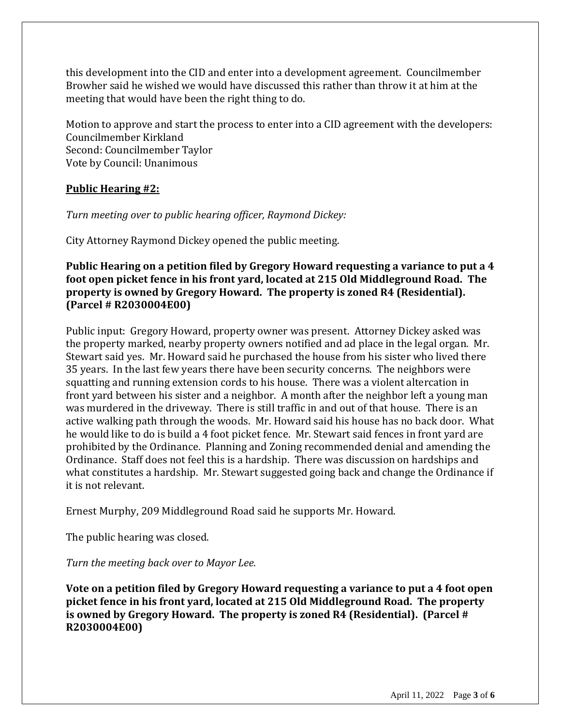this development into the CID and enter into a development agreement. Councilmember Browher said he wished we would have discussed this rather than throw it at him at the meeting that would have been the right thing to do.

Motion to approve and start the process to enter into a CID agreement with the developers: Councilmember Kirkland Second: Councilmember Taylor Vote by Council: Unanimous

# **Public Hearing #2:**

#### *Turn meeting over to public hearing officer, Raymond Dickey:*

City Attorney Raymond Dickey opened the public meeting.

# **Public Hearing on a petition filed by Gregory Howard requesting a variance to put a 4 foot open picket fence in his front yard, located at 215 Old Middleground Road. The property is owned by Gregory Howard. The property is zoned R4 (Residential). (Parcel # R2030004E00)**

Public input: Gregory Howard, property owner was present. Attorney Dickey asked was the property marked, nearby property owners notified and ad place in the legal organ. Mr. Stewart said yes. Mr. Howard said he purchased the house from his sister who lived there 35 years. In the last few years there have been security concerns. The neighbors were squatting and running extension cords to his house. There was a violent altercation in front yard between his sister and a neighbor. A month after the neighbor left a young man was murdered in the driveway. There is still traffic in and out of that house. There is an active walking path through the woods. Mr. Howard said his house has no back door. What he would like to do is build a 4 foot picket fence. Mr. Stewart said fences in front yard are prohibited by the Ordinance. Planning and Zoning recommended denial and amending the Ordinance. Staff does not feel this is a hardship. There was discussion on hardships and what constitutes a hardship. Mr. Stewart suggested going back and change the Ordinance if it is not relevant.

Ernest Murphy, 209 Middleground Road said he supports Mr. Howard.

The public hearing was closed.

*Turn the meeting back over to Mayor Lee.*

**Vote on a petition filed by Gregory Howard requesting a variance to put a 4 foot open picket fence in his front yard, located at 215 Old Middleground Road. The property is owned by Gregory Howard. The property is zoned R4 (Residential). (Parcel # R2030004E00)**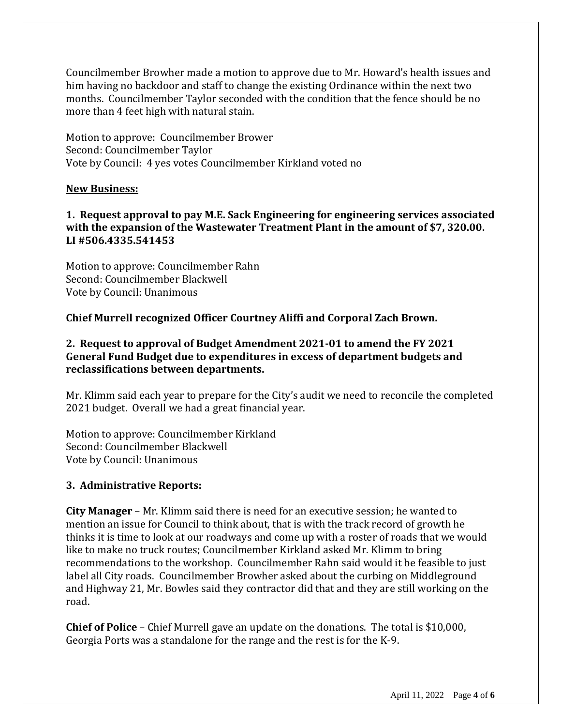Councilmember Browher made a motion to approve due to Mr. Howard's health issues and him having no backdoor and staff to change the existing Ordinance within the next two months. Councilmember Taylor seconded with the condition that the fence should be no more than 4 feet high with natural stain.

Motion to approve: Councilmember Brower Second: Councilmember Taylor Vote by Council: 4 yes votes Councilmember Kirkland voted no

#### **New Business:**

# **1. Request approval to pay M.E. Sack Engineering for engineering services associated with the expansion of the Wastewater Treatment Plant in the amount of \$7, 320.00. LI #506.4335.541453**

Motion to approve: Councilmember Rahn Second: Councilmember Blackwell Vote by Council: Unanimous

**Chief Murrell recognized Officer Courtney Aliffi and Corporal Zach Brown.** 

# **2. Request to approval of Budget Amendment 2021-01 to amend the FY 2021 General Fund Budget due to expenditures in excess of department budgets and reclassifications between departments.**

Mr. Klimm said each year to prepare for the City's audit we need to reconcile the completed 2021 budget. Overall we had a great financial year.

Motion to approve: Councilmember Kirkland Second: Councilmember Blackwell Vote by Council: Unanimous

# **3. Administrative Reports:**

**City Manager** – Mr. Klimm said there is need for an executive session; he wanted to mention an issue for Council to think about, that is with the track record of growth he thinks it is time to look at our roadways and come up with a roster of roads that we would like to make no truck routes; Councilmember Kirkland asked Mr. Klimm to bring recommendations to the workshop. Councilmember Rahn said would it be feasible to just label all City roads. Councilmember Browher asked about the curbing on Middleground and Highway 21, Mr. Bowles said they contractor did that and they are still working on the road.

**Chief of Police** – Chief Murrell gave an update on the donations. The total is \$10,000, Georgia Ports was a standalone for the range and the rest is for the K-9.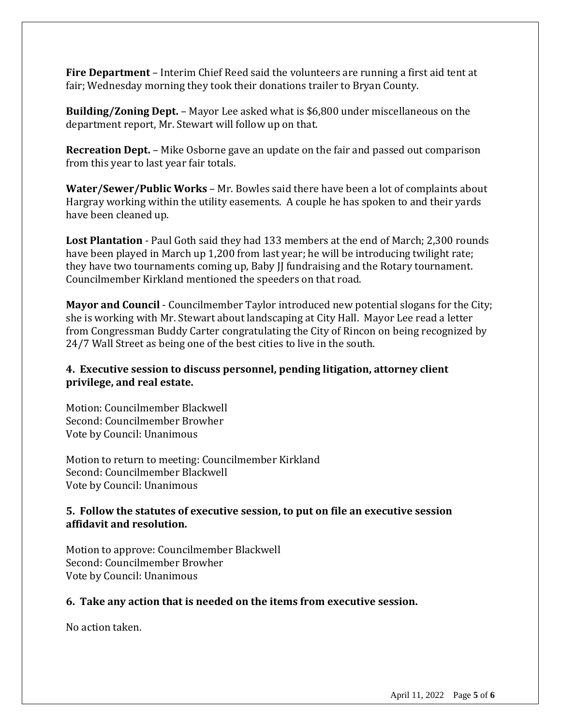**Fire Department** – Interim Chief Reed said the volunteers are running a first aid tent at fair; Wednesday morning they took their donations trailer to Bryan County.

**Building/Zoning Dept.** – Mayor Lee asked what is \$6,800 under miscellaneous on the department report, Mr. Stewart will follow up on that.

**Recreation Dept.** – Mike Osborne gave an update on the fair and passed out comparison from this year to last year fair totals.

**Water/Sewer/Public Works** – Mr. Bowles said there have been a lot of complaints about Hargray working within the utility easements. A couple he has spoken to and their yards have been cleaned up.

**Lost Plantation** - Paul Goth said they had 133 members at the end of March; 2,300 rounds have been played in March up 1,200 from last year; he will be introducing twilight rate; they have two tournaments coming up, Baby JJ fundraising and the Rotary tournament. Councilmember Kirkland mentioned the speeders on that road.

**Mayor and Council** - Councilmember Taylor introduced new potential slogans for the City; she is working with Mr. Stewart about landscaping at City Hall. Mayor Lee read a letter from Congressman Buddy Carter congratulating the City of Rincon on being recognized by 24/7 Wall Street as being one of the best cities to live in the south.

# **4. Executive session to discuss personnel, pending litigation, attorney client privilege, and real estate.**

Motion: Councilmember Blackwell Second: Councilmember Browher Vote by Council: Unanimous

Motion to return to meeting: Councilmember Kirkland Second: Councilmember Blackwell Vote by Council: Unanimous

# **5. Follow the statutes of executive session, to put on file an executive session affidavit and resolution.**

Motion to approve: Councilmember Blackwell Second: Councilmember Browher Vote by Council: Unanimous

#### **6. Take any action that is needed on the items from executive session.**

No action taken.